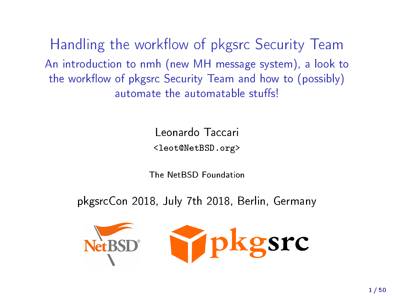Handling the workflow of pkgsrc Security Team An introduction to nmh (new MH message system), a look to the workflow of pkgsrc Security Team and how to (possibly) automate the automatable stuffs!

Leonardo Taccari

<leot@NetBSD.org>

The NetBSD Foundation

pkgsrcCon 2018, July 7th 2018, Berlin, Germany

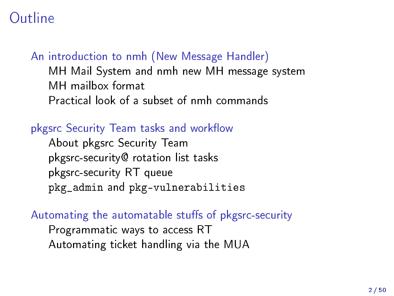### Outline

[An introduction to nmh \(New Message Handler\)](#page-2-0) [MH Mail System and nmh new MH message system](#page-3-0) [MH mailbox format](#page-5-0) [Practical look of a subset of nmh commands](#page-6-0)

#### pkgsrc Security Team tasks and workflow

[About pkgsrc Security Team](#page-19-0) [pkgsrc-security@ rotation list tasks](#page-21-0) [pkgsrc-security RT queue](#page-22-0) pkg admin and [pkg-vulnerabilities](#page-28-0)

#### Automating the automatable stuffs of pkgsrc-security

[Programmatic ways to access RT](#page-33-0) [Automating ticket handling via the MUA](#page-39-0)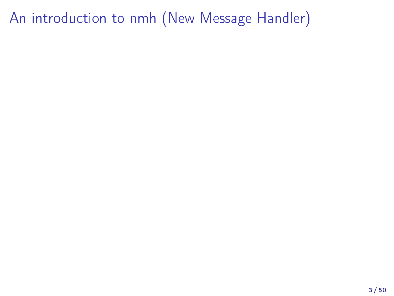# <span id="page-2-0"></span>[An introduction to nmh \(New Message Handler\)](#page-2-0)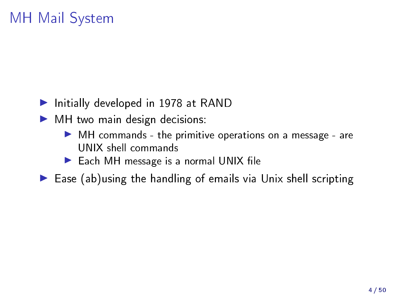### <span id="page-3-0"></span>MH Mail System

- $\blacktriangleright$  Initially developed in 1978 at RAND
- $\blacktriangleright$  MH two main design decisions:
	- $\blacktriangleright$  MH commands the primitive operations on a message are UNIX shell commands
	- $\blacktriangleright$  Each MH message is a normal UNIX file

 $\blacktriangleright$  Ease (ab)using the handling of emails via Unix shell scripting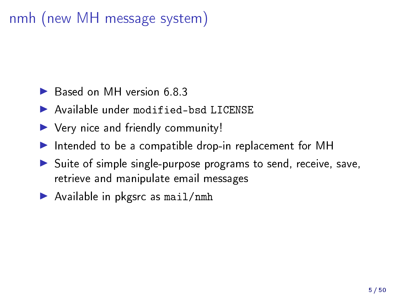# nmh (new MH message system)

- $\triangleright$  Based on MH version 6.8.3
- $\blacktriangleright$  Available under modified-bsd LICENSE
- $\blacktriangleright$  Very nice and friendly community!
- Intended to be a compatible drop-in replacement for MH
- $\triangleright$  Suite of simple single-purpose programs to send, receive, save, retrieve and manipulate email messages
- $\blacktriangleright$  Available in pkgsrc as mail/nmh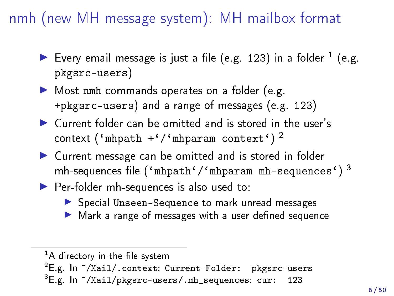## <span id="page-5-0"></span>nmh (new MH message system): MH mailbox format

- Every email message is just a file (e.g. 123) in a folder  $^1$  (e.g. pkgsrc-users)
- Most nmh commands operates on a folder (e.g. +pkgsrc-users) and a range of messages (e.g. 123)
- $\blacktriangleright$  Current folder can be omitted and is stored in the user's  $\texttt{context}$  ('mhpath +'/'mhparam context')<sup>2</sup>
- ▶ Current message can be omitted and is stored in folder mh-sequences file ('mhpath'/'mhparam mh-sequences')  $^3$
- Per-folder mh-sequences is also used to:
	- ▶ Special Unseen-Sequence to mark unread messages
	- $\blacktriangleright$  Mark a range of messages with a user defined sequence

 $\mathrm{^{1}A}$  directory in the file system

 ${}^{2}E$ .g. In  $\degree$ /Mail/.context: Current-Folder: pkgsrc-users

 $^3$ E.g. In  $\tilde{\phantom{a}}$ /Mail/pkgsrc-users/.mh\_sequences: cur:  $\phantom{3}$  123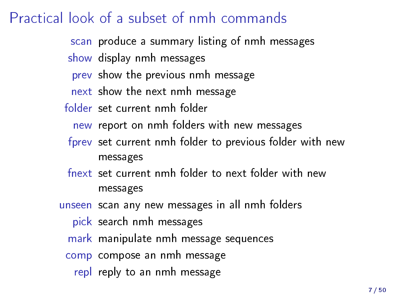# <span id="page-6-0"></span>Practical look of a subset of nmh commands

- scan produce a summary listing of nmh messages
- show display nmh messages
- prev show the previous nmh message
- next show the next nmh message
- folder set current nmh folder
	- new report on nmh folders with new messages
- fprev set current nmh folder to previous folder with new messages
- fnext set current nmh folder to next folder with new messages
- unseen scan any new messages in all nmh folders
	- pick search nmh messages
	- mark manipulate nmh message sequences
	- comp compose an nmh message
		- repl reply to an nmh message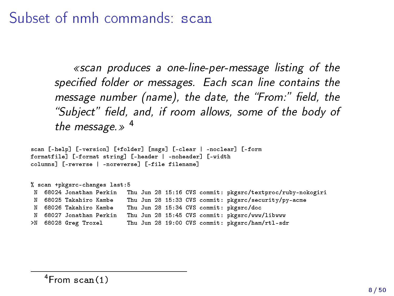Subset of nmh commands: scan

scan produces a one-line-per-message listing of the specified folder or messages. Each scan line contains the message number (name), the date, the "From:" field, the "Subject" field, and, if room allows, some of the body of the message.  $\gg$  <sup>4</sup>

scan [-help] [-version] [+folder] [msgs] [-clear | -noclear] [-form formatfile] [-format string] [-header | -noheader] [-width columns] [-reverse | -noreverse] [-file filename]

% scan +pkgsrc-changes last:5<br>N 68024 Jonathan Perkin T N 68024 Jonathan Perkin Thu Jun 28 15:16 CVS commit: pkgsrc/textproc/ruby-nokogiri N 68025 Takahiro Kambe Thu Jun 28 15:33 CVS commit: pkgsrc/security/py-acme<br>N 68026 Takahiro Kambe Thu Jun 28 15:34 CVS commit: pkgsrc/doc N 68026 Takahiro Kambe Thu Jun 28 15:34 CVS commit: pkgsrc/doc Thu Jun 28 15:45 CVS commit: pkgsrc/www/libwww >N 68028 Greg Troxel Thu Jun 28 19:00 CVS commit: pkgsrc/ham/rtl-sdr

 $4$ From scan $(1)$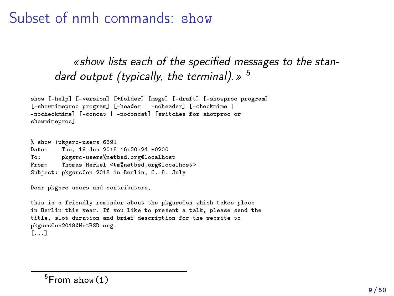Subset of nmh commands: show

«show lists each of the specified messages to the standard output (typically, the terminal).  $>$   $^5$ 

```
show [-help] [-version] [+folder] [msgs] [-draft] [-showproc program]
[-showmimeproc program] [-header | -noheader] [-checkmime |
-nocheckmime] [-concat | -noconcat] [switches for showproc or
showmimeproc]
```
% show +pkgsrc-users 6391 Date: Tue, 19 Jun 2018 16:20:24 +0200 pkgsrc-users%netbsd.org@localhost From: Thomas Merkel <tm%netbsd.org@localhost> Subject: pkgsrcCon 2018 in Berlin, 6.-8. July

Dear pkgsrc users and contributors.

```
this is a friendly reminder about the pkgsrcCon which takes place
in Berlin this year. If you like to present a talk, please send the
title, slot duration and brief description for the website to
pkgsrcCon2018@NetBSD.org.
[...]
```
 $5$ From show $(1)$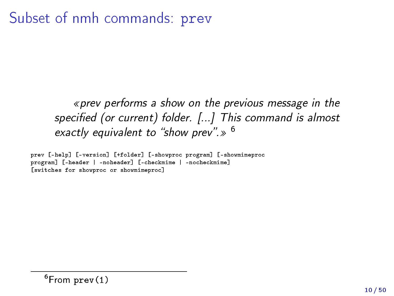### Subset of nmh commands: prev

« prev performs a show on the previous message in the specified (or current) folder. [...] This command is almost exactly equivalent to "show prev".  $\gg$  <sup>6</sup>

prev [-help] [-version] [+folder] [-showproc program] [-showmimeproc program] [-header | -noheader] [-checkmime | -nocheckmime] [switches for showproc or showmimeproc]

 $6$ From prev $(1)$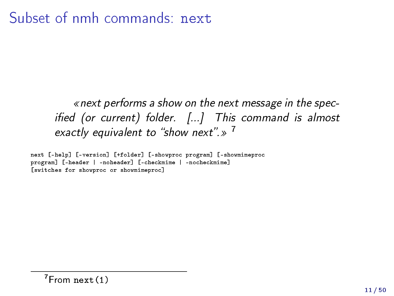#### Subset of nmh commands: next

next performs a show on the next message in the specified (or current) folder.  $[...]$  This command is almost exactly equivalent to "show next".»<sup>7</sup>

next [-help] [-version] [+folder] [-showproc program] [-showmimeproc program] [-header | -noheader] [-checkmime | -nocheckmime] [switches for showproc or showmimeproc]

 $7$ From next $(1)$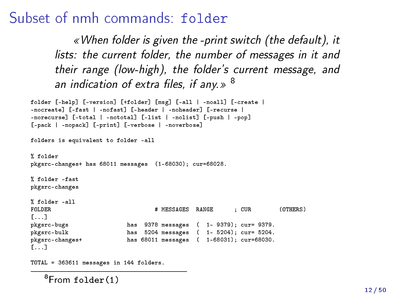#### Subset of nmh commands: folder

When folder is given the -print switch (the default), it lists: the current folder, the number of messages in it and their range (low-high), the folder's current message, and an indication of extra files, if any.  $\gg$   $^8$ 

```
folder [-help] [-version] [+folder] [msg] [-all | -noall] [-create |
-nocreate] [-fast | -nofast] [-header | -noheader] [-recurse |
-norecurse] [-total | -nototal] [-list | -nolist] [-push | -pop]
[-pack | -nopack] [-print] [-verbose | -noverbose]
folders is equivalent to folder -all
% folder
pkgsrc-changes+ has 68011 messages (1-68030); cur=68028.
% folder -fast
pkgsrc-changes
% folder -all<br>FOLDER
                                  # MESSAGES RANGE : CUR (OTHERS)
[...]<br>pkgsrc-bugs
pkgsrc-bugs has 9378 messages ( 1- 9379); cur= 9379.
                           has 5204 messages ( 1- 5204); cur= 5204.
pkgsrc-changes+ has 68011 messages ( 1-68031); cur=68030.
[...]
```
TOTAL = 363611 messages in 144 folders.

 $8$ From folder $(1)$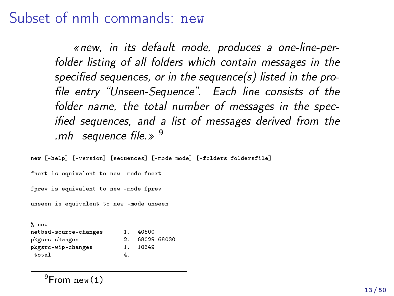#### Subset of nmh commands: new

new, in its default mode, produces a one-line-perfolder listing of all folders which contain messages in the specified sequences, or in the sequence(s) listed in the profile entry "Unseen-Sequence". Each line consists of the folder name, the total number of messages in the specified sequences, and a list of messages derived from the .mh sequence file.  $\gg$   $9$ 

new [-help] [-version] [sequences] [-mode mode] [-folders foldersfile] fnext is equivalent to new -mode fnext fprev is equivalent to new -mode fprev unseen is equivalent to new -mode unseen % new

| 1. | 40500       |
|----|-------------|
|    | 68029-68030 |
| 1. | 10349       |
| 4  |             |
|    |             |

 $9$ From new $(1)$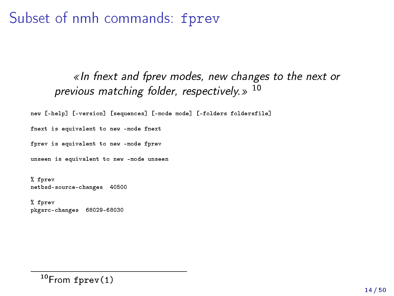Subset of nmh commands: fprev

#### $\ll$  In fnext and fprev modes, new changes to the next or previous matching folder, respectively. $>$  10

new [-help] [-version] [sequences] [-mode mode] [-folders foldersfile]

fnext is equivalent to new -mode fnext

fprev is equivalent to new -mode fprev

unseen is equivalent to new -mode unseen

% fprev netbsd-source-changes 40500

% fprev pkgsrc-changes 68029-68030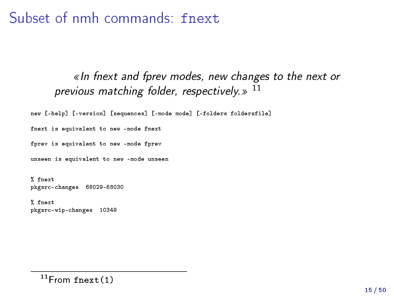Subset of nmh commands: fnext

#### $\ll$  In fnext and fprev modes, new changes to the next or previous matching folder, respectively. $\gg$   $^{11}$

new [-help] [-version] [sequences] [-mode mode] [-folders foldersfile]

fnext is equivalent to new -mode fnext

fprev is equivalent to new -mode fprev

unseen is equivalent to new -mode unseen

% fnext pkgsrc-changes 68029-68030

% fnext pkgsrc-wip-changes 10349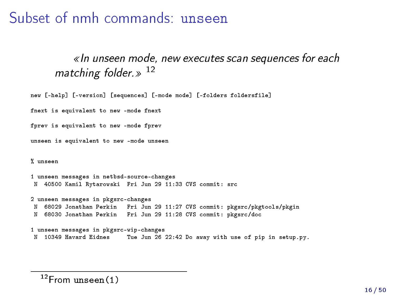#### Subset of nmh commands: unseen

#### $\ll$ In unseen mode, new executes scan sequences for each matching folder.  $\gg$   $^{12}$

```
new [-help] [-version] [sequences] [-mode mode] [-folders foldersfile]
```
fnext is equivalent to new -mode fnext

fprev is equivalent to new -mode fprev

unseen is equivalent to new -mode unseen

% unseen

```
1 unseen messages in netbsd-source-changes
N 40500 Kamil Rytarowski Fri Jun 29 11:33 CVS commit: src
```

```
2 unseen messages in pkgsrc-changes
N 68029 Jonathan Perkin Fri Jun 29 11:27 CVS commit: pkgsrc/pkgtools/pkgin
N 68030 Jonathan Perkin Fri Jun 29 11:28 CVS commit: pkgsrc/doc
```

```
1 unseen messages in pkgsrc-wip-changes
N 10349 Havard Eidnes Tue Jun 26 22:42 Do away with use of pip in setup.py.
```

```
12From unseen(1)
```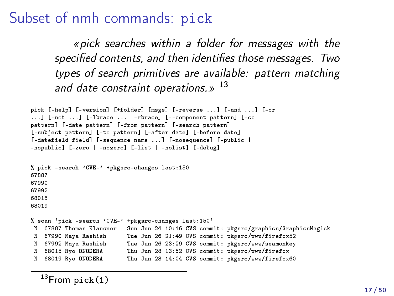#### Subset of nmh commands: pick

pick searches within a folder for messages with the specified contents, and then identifies those messages. Two types of search primitives are available: pattern matching and date constraint operations. $\gg$   $^{13}$ 

```
pick [-help] [-version] [+folder] [msgs] [-reverse ...] [-and ...] [-or
...] [-not ...] [-lbrace ... -rbrace] [--component pattern] [-cc
pattern] [-date pattern] [-from pattern] [-search pattern]
[-subject pattern] [-to pattern] [-after date] [-before date]
[-datefield field] [-sequence name ...] [-nosequence] [-public |
-nopublic] [-zero | -nozero] [-list | -nolist] [-debug]
% pick -search 'CVE-' +pkgsrc-changes last:150
67887
67990
67992
68015
68019
% scan 'pick -search 'CVE-' +pkgsrc-changes last:150°<br>N 67887 Thomas Klausner - Sun Jun 24 10:16 CVS comm
                             Sun Jun 24 10:16 CVS commit: pkgsrc/graphics/GraphicsMagick
N 67990 Maya Rashish Tue Jun 26 21:49 CVS commit: pkgsrc/www/firefox52
  N 67992 Maya Rashish Tue Jun 26 23:29 CVS commit: pkgsrc/www/seamonkey
N 68015 Ryo ONODERA Thu Jun 28 13:52 CVS commit: pkgsrc/www/firefox
N 68019 Ryo ONODERA Thu Jun 28 14:04 CVS commit: pkgsrc/www/firefox60
```
 $13$ From pick $(1)$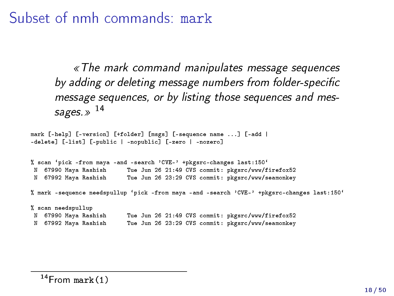Subset of nmh commands: mark

The mark command manipulates message sequences by adding or deleting message numbers from folder-specific message sequences, or by listing those sequences and messages.  $\gg$  14

mark [-help] [-version] [+folder] [msgs] [-sequence name ...] [-add | -delete] [-list] [-public | -nopublic] [-zero | -nozero] % scan 'pick -from maya -and -search 'CVE-' +pkgsrc-changes last:150'<br>N 67990 Mava Rashish Tue Jun 26 21:49 CVS commit: pkgsrc/www/f N 67990 Maya Rashish Tue Jun 26 21:49 CVS commit: pkgsrc/www/firefox52 Tue Jun 26 23:29 CVS commit: pkgsrc/www/seamonkey % mark -sequence needspullup `pick -from maya -and -search 'CVE-' +pkgsrc-changes last:150` % scan needspullup N 67990 Maya Rashish Tue Jun 26 21:49 CVS commit: pkgsrc/www/firefox52 Tue Jun 26 23:29 CVS commit: pkgsrc/www/seamonkey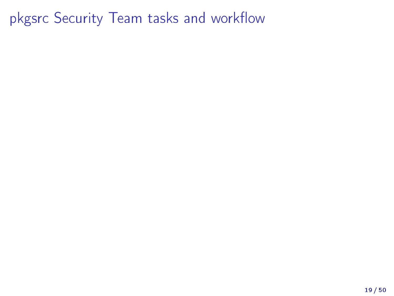<span id="page-18-0"></span>pkgsrc Security Team tasks and workflow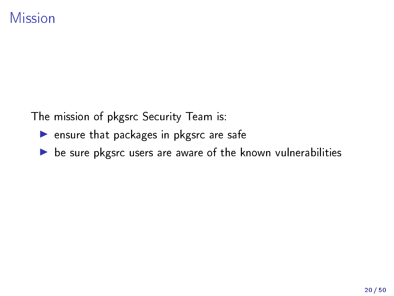<span id="page-19-0"></span>The mission of pkgsrc Security Team is:

- $\blacktriangleright$  ensure that packages in pkgsrc are safe
- $\triangleright$  be sure pkgsrc users are aware of the known vulnerabilities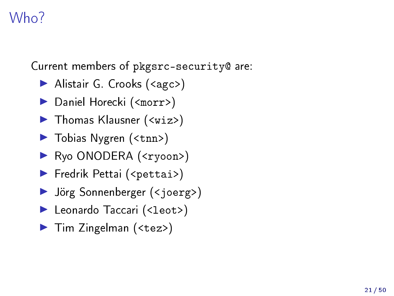## Who?

Current members of pkgsrc-security@ are:

- ▶ Alistair G. Crooks (<agc>)
- ▶ Daniel Horecki (<morr>)
- $\blacktriangleright$  Thomas Klausner (<wiz>)
- ▶ Tobias Nygren (<tnn>)
- ▶ Ryo ONODERA (<ryoon>)
- **Fredrik Pettai (<pettai>)**
- $\blacktriangleright$  Jörg Sonnenberger (<joerg>)
- ▶ Leonardo Taccari (<leot>)
- ▶ Tim Zingelman (<tez>)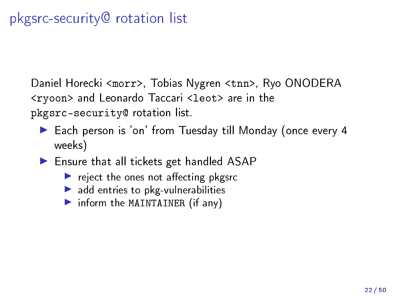# <span id="page-21-0"></span>pkgsrc-security@ rotation list

Daniel Horecki <morr>, Tobias Nygren <tnn>, Ryo ONODERA <ryoon> and Leonardo Taccari <leot> are in the pkgsrc-security@ rotation list.

- ▶ Each person is 'on' from Tuesday till Monday (once every 4 weeks)
- $\blacktriangleright$  Ensure that all tickets get handled ASAP
	- $\blacktriangleright$  reject the ones not affecting pkgsrc
	- $\blacktriangleright$  add entries to pkg-vulnerabilities
	- $\triangleright$  inform the MAINTAINER (if any)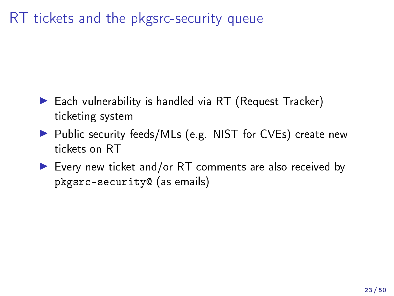# <span id="page-22-0"></span>RT tickets and the pkgsrc-security queue

- $\blacktriangleright$  Each vulnerability is handled via RT (Request Tracker) ticketing system
- ▶ Public security feeds/MLs (e.g. NIST for CVEs) create new tickets on RT
- $\blacktriangleright$  Every new ticket and/or RT comments are also received by pkgsrc-security@ (as emails)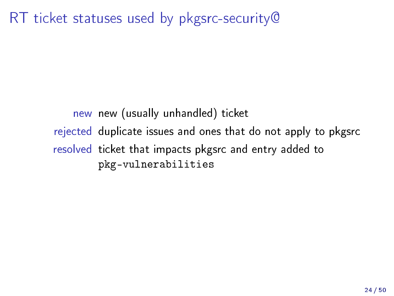RT ticket statuses used by pkgsrc-security@

new new (usually unhandled) ticket rejected duplicate issues and ones that do not apply to pkgsrc resolved ticket that impacts pkgsrc and entry added to pkg-vulnerabilities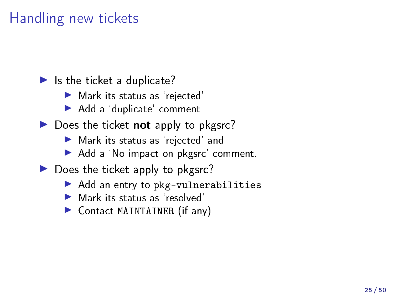### Handling new tickets

 $\blacktriangleright$  Is the ticket a duplicate?

- $\blacktriangleright$  Mark its status as 'rejected'
- ▶ Add a 'duplicate' comment
- $\triangleright$  Does the ticket not apply to pkgsrc?
	- $\blacktriangleright$  Mark its status as 'rejected' and
	- Add a 'No impact on pkgsrc' comment.
- $\triangleright$  Does the ticket apply to pkgsrc?
	- $\blacktriangleright$  Add an entry to pkg-vulnerabilities
	- $\blacktriangleright$  Mark its status as 'resolved'
	- $\triangleright$  Contact MAINTAINER (if any)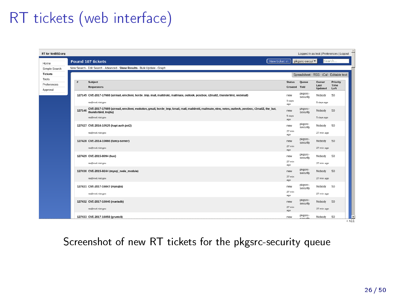# RT tickets (web interface)

| RT for NetBSD.org                |                                                                                                                                                                                       |                               |                      | Logged in as leat I Preferences I Logout |                          |
|----------------------------------|---------------------------------------------------------------------------------------------------------------------------------------------------------------------------------------|-------------------------------|----------------------|------------------------------------------|--------------------------|
| Home                             | New ticket in<br><b>Found 107 tickets</b>                                                                                                                                             |                               | pkgsrc-secur         |                                          | Search                   |
| Simple Search                    | New Search - Edit Search - Advanced - Show Results - Bulk Update - Graph                                                                                                              |                               |                      |                                          |                          |
| Tickets                          |                                                                                                                                                                                       |                               |                      | Spreadsheet - RSS - iCal - Editable text |                          |
| Tools<br>Preferences<br>Approval | Subject<br><b>Requestors</b>                                                                                                                                                          | <b>Status</b><br>Created Told | Queue                | Owner<br>Last<br>Updated                 | Priority<br>Time<br>Left |
|                                  | 127145 CVE-2017-17688 (airmail, emclient, horde imp, mail, maildroid, mailmate, outlook, postbox, r2mail2, thunderbird, webmail)                                                      | new                           | pkgsrc-<br>security  | Nobody                                   | 50                       |
|                                  | na@mvd.nist.gov                                                                                                                                                                       | 5 days<br>ago                 |                      | 5 days ago                               |                          |
|                                  | CVE-2017-17689 (airmail, emclient, evolution, gmail, horde_imp, kmail, mail, maildroid, mailmate, nine, notes, outlook, postbox, r2mail2, the_bat,<br>127146<br>thunderbird, trojita) | new                           | pkgsrc-<br>security  | Nobody                                   | 50                       |
|                                  | rea@mvd.nist.gov                                                                                                                                                                      | 5 days<br>ago                 |                      | 5 days ago                               |                          |
|                                  | 127427 CVE-2016-10525 (hapi-auth-jwt2)                                                                                                                                                | new                           | pkgsrc-<br>security  | Nobody                                   | 50                       |
|                                  | ns@mvd.nist.gov                                                                                                                                                                       | $27$ min<br>ison              |                      | 27 min ago                               |                          |
|                                  | 127428 CVE-2014-10066 (fancy-server)                                                                                                                                                  | new                           | pkgsrc-<br>security  | Nobody                                   | 50                       |
|                                  | ma@mvd.nist.gov                                                                                                                                                                       | $27$ min<br>ago               |                      | 27 min ago                               |                          |
|                                  | 127429 CVE-2015-8094 (hue)                                                                                                                                                            | new                           | pkgsrc-<br>security  | Nobody                                   | 50                       |
|                                  | rss@mvd.nist.gov                                                                                                                                                                      | $27$ min<br>400               |                      | 27 min ago                               |                          |
|                                  | 127430 CVE-2015-9244 (mysql node module)                                                                                                                                              | new                           | pkgsrc-<br>security  | Nobody                                   | 50                       |
|                                  | ras@mvd.nist.gov                                                                                                                                                                      | $27 \text{ min}$<br>800       |                      | 27 min ago                               |                          |
|                                  | 127431 CVE-2017-16047 (mysqljs)                                                                                                                                                       | new                           | plogsrc-<br>security | Nobody                                   | 50                       |
|                                  | rss@mvd.nist.gov                                                                                                                                                                      | $27$ min<br>ago               |                      | 27 min ago                               |                          |
|                                  | 127432 CVE-2017-16046 (mariadb)                                                                                                                                                       | new                           | pkgsrc-<br>security  | Nobody                                   | 50                       |
|                                  | rss@mvd.nist.gov                                                                                                                                                                      | $27 \text{ min}$<br>800       |                      | 27 min ago                               |                          |
|                                  | 127433 CVE-2017-16058 (gruntcli)                                                                                                                                                      | new                           | pkgsrc-<br>evenuelle | Nobody                                   | 50<br>$<$ All            |

#### Screenshot of new RT tickets for the pkgsrc-security queue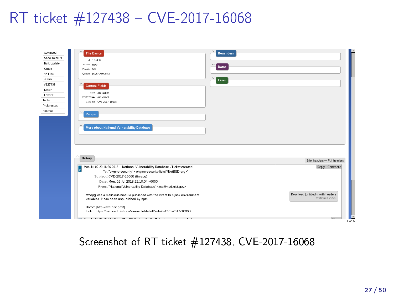## RT ticket #127438 - CVE-2017-16068

| Advanced           | <b>The Basics</b>                                                                                         | <b>Reminders</b>                   |  |
|--------------------|-----------------------------------------------------------------------------------------------------------|------------------------------------|--|
| Show Results       |                                                                                                           |                                    |  |
| <b>Bulk Update</b> | ld: 127438                                                                                                |                                    |  |
| Graph              | Status: new<br>Priority: 50f                                                                              | <b>Dates</b>                       |  |
| << First           | Queue: plostc-security                                                                                    |                                    |  |
|                    |                                                                                                           |                                    |  |
| $<$ Prev           |                                                                                                           | Links                              |  |
| #127438            | <b>Custom Fields</b>                                                                                      |                                    |  |
| Next >             | state: (no value)                                                                                         |                                    |  |
| Last>>             | CERT VUes: (no value)                                                                                     |                                    |  |
| Tools              | CVE IDs: CVE-2017-16068                                                                                   |                                    |  |
| Preferences        |                                                                                                           |                                    |  |
| Approval           |                                                                                                           |                                    |  |
|                    | People                                                                                                    |                                    |  |
|                    |                                                                                                           |                                    |  |
|                    | More about National Vulnerability Database                                                                |                                    |  |
|                    |                                                                                                           |                                    |  |
|                    |                                                                                                           |                                    |  |
|                    |                                                                                                           |                                    |  |
|                    |                                                                                                           |                                    |  |
|                    |                                                                                                           |                                    |  |
|                    | ۸                                                                                                         |                                    |  |
|                    | History                                                                                                   | Brief headers - Full headers       |  |
|                    | Mon Jul 02 20:18:26 2018 National Vulnerability Database - Ticket created                                 | Reply Comment                      |  |
|                    | ŧ<br>To: "plogsrc-security" <plogsrc-security-lists@netbsd.org>"</plogsrc-security-lists@netbsd.org>      |                                    |  |
|                    | Subject: CVE-2017-16068 (ffmepg)                                                                          |                                    |  |
|                    | Date: Mon, 02 Jul 2018 22:18:04 +0000                                                                     |                                    |  |
|                    | From: "National Vulnerability Database" <rss@nvd.nist.gov></rss@nvd.nist.gov>                             |                                    |  |
|                    |                                                                                                           |                                    |  |
|                    | ffmepg was a malicious module published with the intent to hijack environment                             | Download (untitled) / with headers |  |
|                    | variables. It has been unpublished by npm.                                                                | text/plain 225b                    |  |
|                    |                                                                                                           |                                    |  |
|                    | Home: [http://nvd.nist.gov/]<br>Link: [ https://web.nvd.nist.gov/view/vuln/detail?vulnId=CVE-2017-16068 ] |                                    |  |
|                    |                                                                                                           |                                    |  |
|                    | $\cdots$ $\cdots$ $\cdots$ $\cdots$ $\cdots$ $\cdots$ $\cdots$ $\cdots$ $\cdots$ $\cdots$ $\cdots$        | $-45%$                             |  |

#### Screenshot of RT ticket #127438, CVE-2017-16068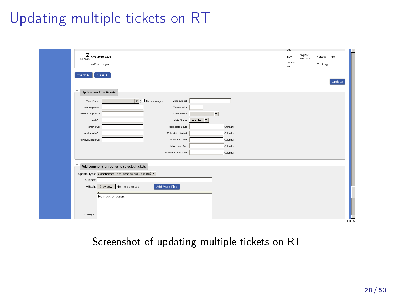# Updating multiple tickets on RT

|          |                         |                                                  |                                                                  |                         |          | ago           |                      |            |        |            |
|----------|-------------------------|--------------------------------------------------|------------------------------------------------------------------|-------------------------|----------|---------------|----------------------|------------|--------|------------|
|          | CVE-2018-9276<br>127531 |                                                  |                                                                  |                         |          | new           | plogsrc-<br>security | Nobody     | 50     |            |
|          | rss@mvd.nist.gov        |                                                  |                                                                  |                         |          | 30 min<br>ago |                      | 30 min ago |        |            |
|          | Check All               | Clear All                                        |                                                                  |                         |          |               |                      |            |        |            |
|          |                         |                                                  |                                                                  |                         |          |               |                      |            | Update |            |
| $\wedge$ | Update multiple tickets |                                                  |                                                                  |                         |          |               |                      |            |        |            |
|          | Make Owner:             |                                                  | $\blacktriangleright$ ( $\square$ Force change)<br>Make subject: |                         |          |               |                      |            |        |            |
|          | Add Requestor:          |                                                  | Make priceity:                                                   |                         |          |               |                      |            |        |            |
|          | Remove Requestor:       |                                                  | Make queue:                                                      |                         |          |               |                      |            |        |            |
|          | Add Cc:                 |                                                  |                                                                  | Make Status: rejected = |          |               |                      |            |        |            |
|          | Remove Cc:              |                                                  | Make date Starts:                                                |                         | Calendar |               |                      |            |        |            |
|          | Add AdminCc:            |                                                  | Make date Started:                                               |                         | Calendar |               |                      |            |        |            |
|          | Remove AdminCc:         |                                                  | Make date Told:                                                  |                         | Calendar |               |                      |            |        |            |
|          |                         |                                                  | Make date Due:                                                   |                         | Calendar |               |                      |            |        |            |
|          |                         |                                                  | Make date Resolved:                                              |                         | Calendar |               |                      |            |        |            |
|          |                         |                                                  |                                                                  |                         |          |               |                      |            |        |            |
|          |                         | Add comments or replies to selected tickets      |                                                                  |                         |          |               |                      |            |        |            |
|          |                         | Update Type: Comments (not sent to requestors) = |                                                                  |                         |          |               |                      |            |        |            |
|          | Subject:                |                                                  |                                                                  |                         |          |               |                      |            |        |            |
|          |                         | Attach: Browse No file selected.                 | Add More Files                                                   |                         |          |               |                      |            |        |            |
|          |                         |                                                  |                                                                  |                         |          |               |                      |            |        |            |
|          |                         | No impact on pkgsrc                              |                                                                  |                         |          |               |                      |            |        |            |
|          |                         |                                                  |                                                                  |                         |          |               |                      |            |        |            |
|          | Message:                |                                                  |                                                                  |                         |          |               |                      |            |        |            |
|          |                         |                                                  |                                                                  |                         |          |               |                      |            |        | E<br>< 89% |

#### Screenshot of updating multiple tickets on RT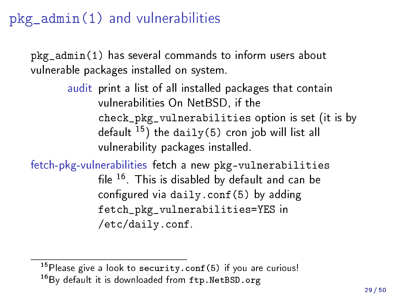<span id="page-28-0"></span> $pkg$   $admin(1)$  and vulnerabilities

pkg\_admin(1) has several commands to inform users about vulnerable packages installed on system.

> audit print a list of all installed packages that contain vulnerabilities On NetBSD, if the check\_pkg\_vulnerabilities option is set (it is by default  $15$ ) the daily(5) cron job will list all vulnerability packages installed.

fetch-pkg-vulnerabilities fetch a new pkg-vulnerabilities file  $16$ . This is disabled by default and can be configured via daily.conf(5) by adding fetch\_pkg\_vulnerabilities=YES in /etc/daily.conf.

 $15P$  lease give a look to security.conf(5) if you are curious! 16By default it is downloaded from <ftp.NetBSD.org>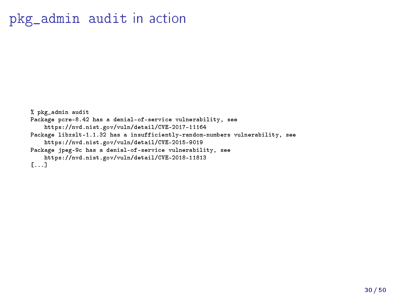#### pkg\_admin audit in action

```
% pkg_admin audit
Package pcre-8.42 has a denial-of-service vulnerability, see
    https://nvd.nist.gov/vuln/detail/CVE-2017-11164
Package libxslt-1.1.32 has a insufficiently-random-numbers vulnerability, see
    https://nvd.nist.gov/vuln/detail/CVE-2015-9019
Package jpeg-9c has a denial-of-service vulnerability, see
    https://nvd.nist.gov/vuln/detail/CVE-2018-11813
[...]
```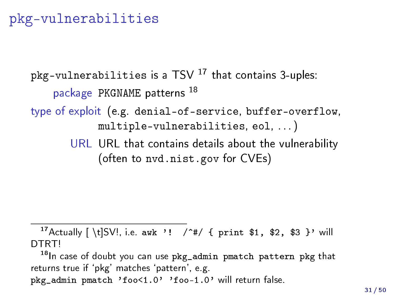#### pkg-vulnerabilities

```
pkg-vulnerabilities is a TSV ^{17} that contains 3-uples:
    package PKGNAME patterns 18
type of exploit (e.g. denial-of-service, buffer-overflow,
             multiple-vulnerabilities, eol, . . . )
       URL URL that contains details about the vulnerability
             (often to nvd.nist.gov for CVEs)
```

```
<sup>17</sup> Actually [ \t]SV!, i.e. awk '! / <sup>^#</sup>/ { print $1, $2, $3 }' will
DTRT!
```
<sup>18</sup>In case of doubt you can use pkg\_admin pmatch pattern pkg that returns true if 'pkg' matches 'pattern', e.g. pkg\_admin pmatch 'foo<1.0' 'foo-1.0' will return false.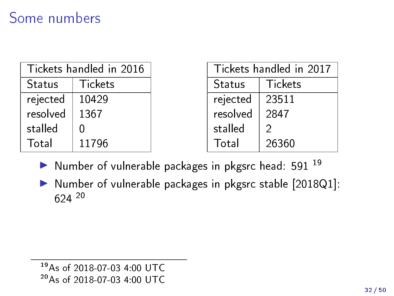### Some numbers

| Tickets handled in 2016 |                |  |  |  |
|-------------------------|----------------|--|--|--|
| Status                  | <b>Tickets</b> |  |  |  |
| rejected                | 10429          |  |  |  |
| resolved                | 1367           |  |  |  |
| stalled                 | Λ              |  |  |  |
| Total                   | 11796          |  |  |  |

| Tickets handled in 2017 |         |  |  |
|-------------------------|---------|--|--|
| Status                  | Tickets |  |  |
| rejected                | 23511   |  |  |
| resolved                | 2847    |  |  |
| stalled                 | 2       |  |  |
| Total                   | 26360   |  |  |

- $\blacktriangleright$  Number of vulnerable packages in pkgsrc head: 591  $^{19}$
- In Number of vulnerable packages in pkgsrc stable [2018Q1]: 624 <sup>20</sup>

<sup>19</sup>As of 2018-07-03 4:00 UTC <sup>20</sup>As of 2018-07-03 4:00 UTC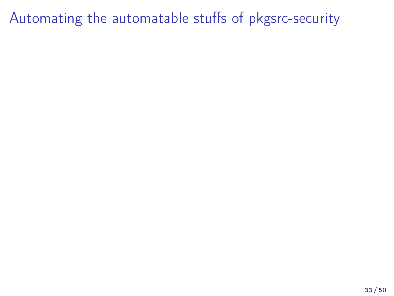# <span id="page-32-0"></span>Automating the automatable stuffs of pkgsrc-security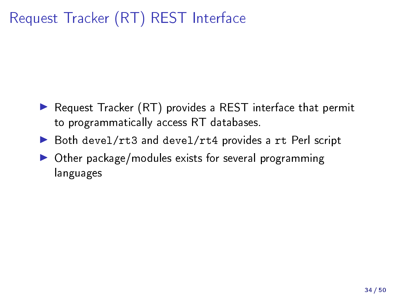# <span id="page-33-0"></span>Request Tracker (RT) REST Interface

- $\blacktriangleright$  Request Tracker (RT) provides a REST interface that permit to programmatically access RT databases.
- ▶ Both devel/rt3 and devel/rt4 provides a rt Perl script
- $\triangleright$  Other package/modules exists for several programming languages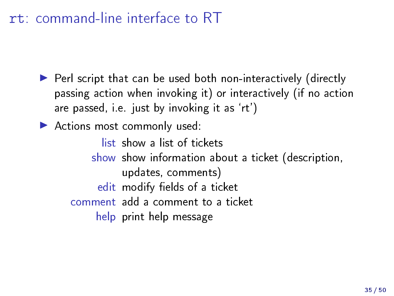# rt: command-line interface to RT

 $\blacktriangleright$  Perl script that can be used both non-interactively (directly passing action when invoking it) or interactively (if no action are passed, i.e. just by invoking it as `rt')

Actions most commonly used:

list show a list of tickets

show show information about a ticket (description, updates, comments)

edit modify fields of a ticket

comment add a comment to a ticket

help print help message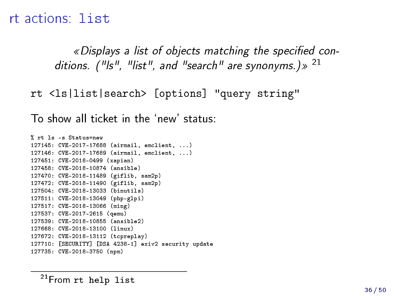#### rt actions: list

«Displays a list of objects matching the specified conditions. ("Is", "list", and "search" are synonyms.)  $\gg 21$ 

rt <ls|list|search> [options] "query string"

To show all ticket in the `new' status:

```
% rt ls -s Status=new
127145: CVE-2017-17688 (airmail, emclient, ...)
127146: CVE-2017-17689 (airmail, emclient, ...)
127451: CVE-2018-0499 (xapian)
127458: CVE-2018-10874 (ansible)
127470: CVE-2018-11489 (giflib, sam2p)
127472: CVE-2018-11490 (giflib, sam2p)
127504: CVE-2018-13033 (binutils)
127511: CVE-2018-13049 (php-glpi)
127517: CVE-2018-13066 (ming)
127537: CVE-2017-2615 (qemu)
127539: CVE-2018-10855 (ansible2)
127668: CVE-2018-13100 (linux)
127672: CVE-2018-13112 (tcpreplay)
127710: [SECURITY] [DSA 4238-1] exiv2 security update
127735: CVE-2018-3750 (npm)
```
<sup>21</sup>From rt help list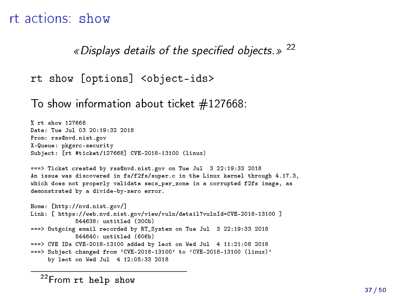#### rt actions: show

« Displays details of the specified objects. »  $22$ 

```
rt show [options] <object-ids>
```
To show information about ticket  $\#127668$ :

```
% rt show 127668
Date: Tue Jul 03 20:19:32 2018
From: rss@nvd.nist.gov
X-Queue: pkgsrc-security
Subject: [rt #ticket/127668] CVE-2018-13100 (linux)
===> Ticket created by rss@nvd.nist.gov on Tue Jul 3 22:19:33 2018
An issue was discovered in fs/f2fs/super.c in the Linux kernel through 4.17.3,
which does not properly validate secs_per_zone in a corrupted f2fs image, as
demonstrated by a divide-by-zero error.
Home: [http://nvd.nist.gov/]
Link: [ https://web.nvd.nist.gov/view/vuln/detail?vulnId=CVE-2018-13100 ]
             544638: untitled (300b)
===> Outgoing email recorded by RT_System on Tue Jul 3 22:19:33 2018
             544640: untitled (606b)
===> CVE IDs CVE-2018-13100 added by leot on Wed Jul 4 11:21:08 2018
===> Subject changed from 'CVE-2018-13100' to 'CVE-2018-13100 (linux)'
     by leot on Wed Jul 4 12:05:33 2018
```
<sup>22</sup>From rt help show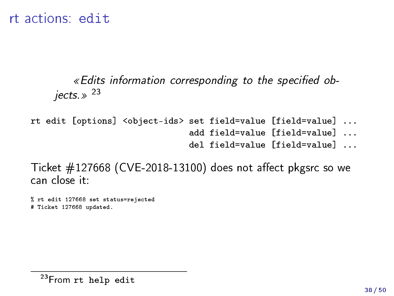rt actions: edit

#### $\epsilon$  Edits information corresponding to the specified objects. $\gg$  23

rt edit [options] <object-ids> set field=value [field=value] ... add field=value [field=value] ... del field=value [field=value] ...

Ticket  $\#127668$  (CVE-2018-13100) does not affect pkgsrc so we can close it:

% rt edit 127668 set status=rejected # Ticket 127668 updated.

<sup>&</sup>lt;sup>23</sup>From rt help edit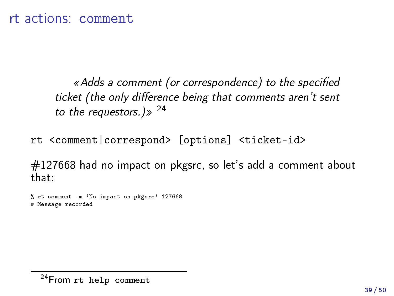«Adds a comment (or correspondence) to the specified ticket (the only difference being that comments aren't sent to the requestors.)  $> 24$ 

rt <comment|correspond> [options] <ticket-id>

#127668 had no impact on pkgsrc, so let's add a comment about that:

% rt comment -m 'No impact on pkgsrc' 127668 # Message recorded

<sup>&</sup>lt;sup>24</sup> From rt help comment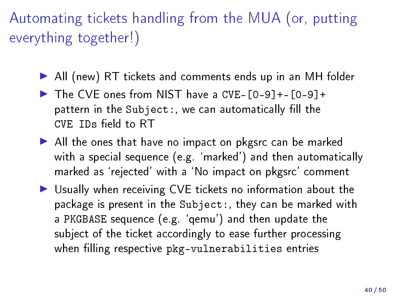# <span id="page-39-0"></span>Automating tickets handling from the MUA (or, putting everything together!)

- ▶ All (new) RT tickets and comments ends up in an MH folder
- $\triangleright$  The CVE ones from NIST have a CVE- $[0-9]+$ - $[0-9]+$ pattern in the Subject:, we can automatically fill the  $CVE$  IDs field to  $RT$
- $\blacktriangleright$  All the ones that have no impact on pkgsrc can be marked with a special sequence (e.g. `marked') and then automatically marked as `rejected' with a `No impact on pkgsrc' comment
- ▶ Usually when receiving CVE tickets no information about the package is present in the Subject:, they can be marked with a PKGBASE sequence (e.g. `qemu') and then update the subject of the ticket accordingly to ease further processing when filling respective pkg-vulnerabilities entries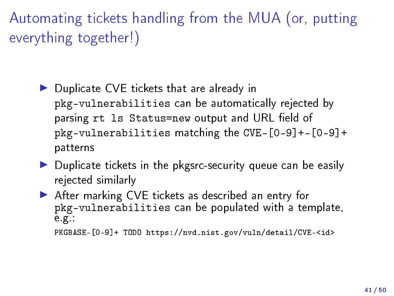Automating tickets handling from the MUA (or, putting everything together!)

- $\blacktriangleright$  Duplicate CVE tickets that are already in pkg-vulnerabilities can be automatically rejected by parsing rt 1s Status=new output and URL field of pkg-vulnerabilities matching the CVE-[0-9]+-[0-9]+ patterns
- $\triangleright$  Duplicate tickets in the pkgsrc-security queue can be easily rejected similarly
- $\blacktriangleright$  After marking CVE tickets as described an entry for pkg-vulnerabilities can be populated with a template, e.g.:

```
PKGBASE-[0-9]+ TODO https://nvd.nist.gov/vuln/detail/CVE-<id>
```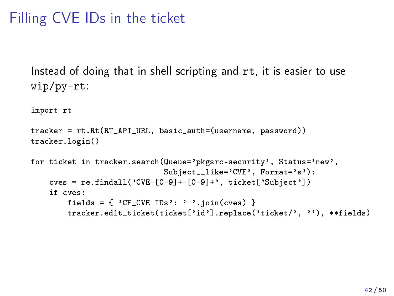# Filling CVE IDs in the ticket

Instead of doing that in shell scripting and rt, it is easier to use wip/py-rt:

import rt

tracker = rt.Rt(RT\_API\_URL, basic\_auth=(username, password)) tracker.login()

```
for ticket in tracker.search(Queue='pkgsrc-security', Status='new',
                             Subject like='CVE', Format='s'):
   cves = re.findall('CVE-[0-9]+-[0-9]+', ticket['Subject'])
   if cves:
        fields = \{ 'CF_CVE IDs': ' '.join(cves) }
        tracker.edit_ticket(ticket['id'].replace('ticket/', ''), **fields)
```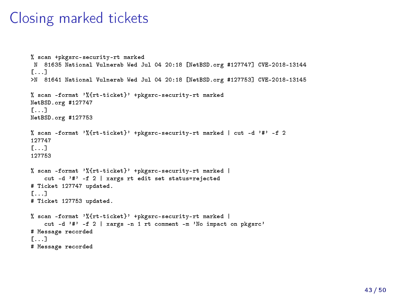#### Closing marked tickets

```
% scan +pkgsrc-security-rt marked
N 81635 National Vulnerab Wed Jul 04 20:18 [NetBSD.org #127747] CVE-2018-13144
[...]
>N 81641 National Vulnerab Wed Jul 04 20:18 [NetBSD.org #127753] CVE-2018-13145
% scan -format '%{rt-ticket}' +pkgsrc-security-rt marked
NetBSD.org #127747
[...]
NetBSD.org #127753
% scan -format '%{rt-ticket}' +pkgsrc-security-rt marked | cut -d '#' -f 2
127747
[...]
127753
% scan -format '%{rt-ticket}' +pkgsrc-security-rt marked |
    cut -d '#' -f 2 | xargs rt edit set status=rejected
# Ticket 127747 updated.
[...]
# Ticket 127753 updated.
% scan -format '%{rt-ticket}' +pkgsrc-security-rt marked |
    cut -d '#' -f 2 | xargs -n 1 rt comment -m 'No impact on pkgsrc'
# Message recorded
[...]
# Message recorded
```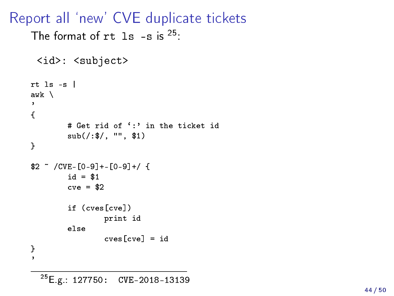Report all `new' CVE duplicate tickets

```
The format of rt 1s -s is ^{25}:
 <id>: <subject>
rt ls -s |
awk \
\cdot{
        # Get rid of ':' in the ticket id
        sub(/:$/, "", $1)
}
$2 ~ /CVE-[0-9]+-[0-9]+/ {
        id = $1cve = $2if (cves[cve])
                print id
        else
                cves[cve] = id
```
} '

<sup>25</sup>E.g.: 127750: CVE-2018-13139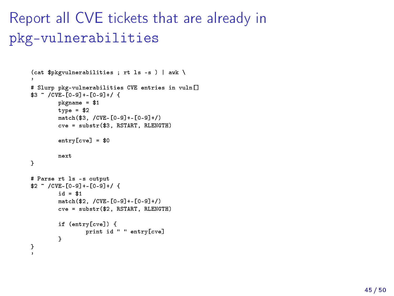```
Report all CVE tickets that are already in
pkg-vulnerabilities
```

```
(cat $pkgvulnerabilities ; rt ls -s ) | awk \
# Slurp pkg-vulnerabilities CVE entries in vuln[]
$3 ~ /CVE-[0-9]+-[0-9]+/ {
        pkgname = $1type = $2match($3, /CVE-[0-9]+-[0-9]+/)
        cve = substr($3, RSTART, RLENGTH)
        entry[cve] = $0
        next
}
# Parse rt ls -s output
$2 ~ /CVE-[0-9]+-[0-9]+/ {
        id = $1
        match($2, /CVE-[0-9]+-[0-9]+/)
        cve = substr($2, RSTART, RLENGTH)
        if (entry[cve]) {
                print id " " entry[cve]
        }
}
'
```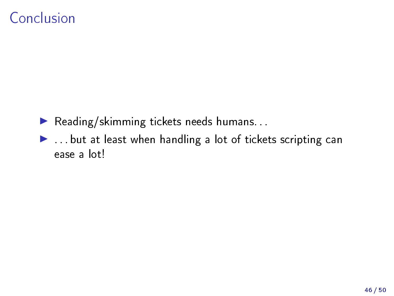### Conclusion

- $\blacktriangleright$  Reading/skimming tickets needs humans...
- $\blacktriangleright$  ... but at least when handling a lot of tickets scripting can ease a lot!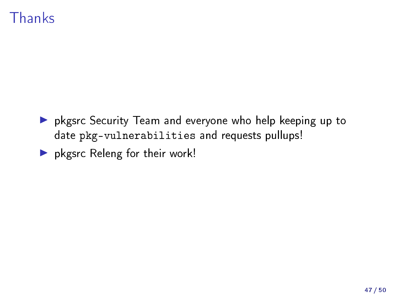### Thanks

- I pkgsrc Security Team and everyone who help keeping up to date pkg-vulnerabilities and requests pullups!
- $\blacktriangleright$  pkgsrc Releng for their work!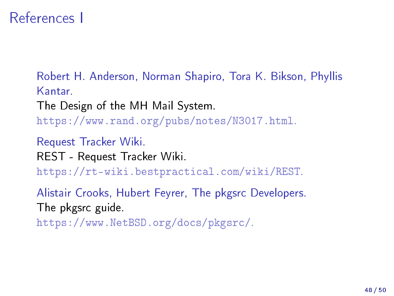#### References I

Robert H. Anderson, Norman Shapiro, Tora K. Bikson, Phyllis Kantar.

The Design of the MH Mail System.

[https://www.rand.org/pubs/notes/N3017.html.](https://www.rand.org/pubs/notes/N3017.html)

Request Tracker Wiki. REST - Request Tracker Wiki.

[https://rt-wiki.bestpractical.com/wiki/REST.](https://rt-wiki.bestpractical.com/wiki/REST)

Alistair Crooks, Hubert Feyrer, The pkgsrc Developers. The pkgsrc guide.

[https://www.NetBSD.org/docs/pkgsrc/.](https://www.NetBSD.org/docs/pkgsrc/)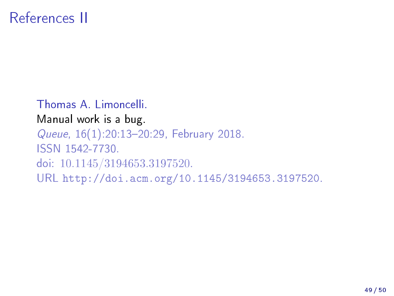Thomas A. Limoncelli. Manual work is a bug. Queue, 16(1):20:13-20:29, February 2018. ISSN 1542-7730. doi: 10.1145/3194653.3197520. URL [http://doi.acm.org/10.1145/3194653.3197520.](http://doi.acm.org/10.1145/3194653.3197520)